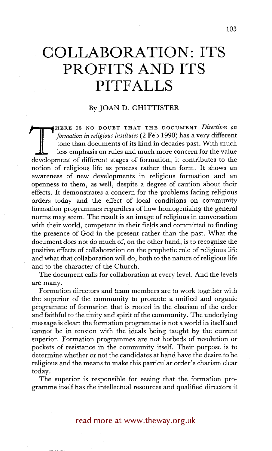## **COLLABORATION: ITS PROFITS AND ITS PITFALLS**

## By JOAN D. CHITTISTER

**THERE IS NO DOOD!** THAT THE DOCUMENT DURING ON THE *different* tone than documents of its kind in decades past. With much less emphasis on rules and much more concern for the value development of different stages of forma HERE IS NO DOUBT THAT THE DOCUMENT *Directives on formation in religious institutes* (2 Feb 1990) has a very different tone than documents of its kind in decades past. With much less emphasis on rules and much more concern for the value notion of religious life as process rather than form. It shows an awareness of new developments in religious formation and an openness to them, as well, despite a degree of caution about their effects. It demonstrates a concern for the problems facing religious orders today and the effect of local conditions on community formation programmes regardless of how homogenizing the genera norms may seem. The result is an image of religious in conversation with their world, competent in their fields and committed to finding the presence of God in the present rather than the past. What the document does not do much of, on the other hand, is to recognize the positive effects of collaboration on the prophetic role of religious life and what that collaboration will do, both to the nature of religious life and to the character of the Church.

The document calls for collaboration at every level. And the levels are many.

Formation directors and team members are to work together with the superior of the community to promote a unified and organic programme of formation that is rooted in the charism of the order and faithful to the unity and spirit of the community. The underlying message is clear: the formation programme is not a world in itself and cannot be in tension with the ideals being taught by the current superior. Formation programmes are not hotbeds of revolution or pockets of resistance in the community itself. Their purpose is to determine whether or not the candidates at hand have the desire to be religious and the means to make this particular order's charism clear today.

The superior is responsible for seeing that the formation programme itself has the intellectual resources and qualified directors it

## read more at www.theway.org.uk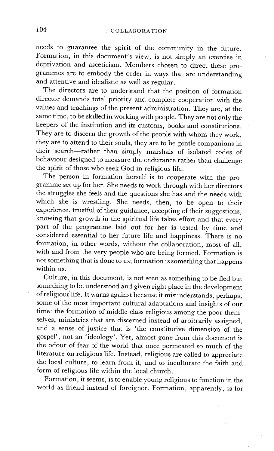needs to guarantee the spirit of the community in the future. Formation, in this document's view, is not simply an exercise in deprivation and asceticism. Members chosen to direct these programmes are to embody the order in ways that are understanding and attentive and idealistic as well as regular.

The directors are to understand that the position of formation director demands total priority and complete cooperation with the values and teachings of the present administration. They are, at the same time, to be skilled in working with people. They are not only the keepers of the institution and its customs, books and constitutions. They are to discern the growth of the people with whom they work, they are to attend to their souls, they are to be gentle companions in their search--rather than simply marshals of isolated codes of behaviour designed to measure the endurance rather than challenge the spirit of those who seek God in religious life.

The person in formation herself is to cooperate with the programme set up for her. She needs to work through with her directors the struggles she feels and the questions she has and the needs with which she is wrestling. She needs, then, to be open to their experience, trustful of their guidance, accepting of their suggestions, knowing that growth in the spiritual life takes effort and that every part of the programme laid out for her is tested by time and considered essential to her future life and happiness. There is no formation, in other words, without the collaboration, most of all, with and from the very people who are being formed. Formation is not something that is done to us; formation is something that happens within us.

Culture, in this document, is not seen as something to be fled but something to be understood and given right place in the development of religious life. It warns against because it misunderstands, perhaps, some of the most important cultural adaptations and insights of our time: the formation of middle-class religious among the poor themselves, ministries that are discerned instead of arbitrarily assigned, and a sense of justice that is 'the constitutive dimension of the gospel', not an 'ideology'. Yet, almost gone from this document is the odour of fear of the world that once permeated so much of the literature on religious life. Instead, religious are called to appreciate the local culture, to learn from it, and to inculturate the faith and form of religious life within the local church.

Formation, it seems, is to enable young religious to function in the world as friend instead of foreigner. Formation, apparently, is for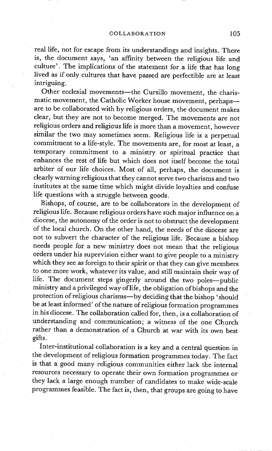real life, not for escape from its understandings and insights. There is, the document says, 'an affinity between the religious life and culture'. The implications of the statement for a life that has long lived as if only cultures that have passed are perfectible are at least intriguing.

Other ecclesial movements-the Cursillo movement, the charismatic movement, the Catholic Worker house movement, perhapsare to be collaborated with by religious orders, the document makes clear, but they are not to become merged. The movements are not religious orders and religious life is more than a movement, however similar the two may sometimes seem. Religious life is a perpetual commitment to a life-style. The movements are, for most at least, a temporary commitment to a ministry or spiritual practice that enhances the rest of life but which does not itself become the total arbiter of our life choices. Most of all, perhaps, the document is clearly warning religious that they cannot serve two charisms and two institutes at the same time which might divide loyalties and confuse life questions with a struggle between goods.

Bishops, of course, are to be collaborators in the development of religious life. Because religious orders have such major influence on a diocese, the autonomy of the order is not to obstruct the development of the local church. On the other hand, the needs of the diocese are not to subvert the character of the religious life. Because a bishop needs people for a new ministry does not mean that the religious orders under his supervision either want to give people to a ministry which they see as foreign to their spirit or that they can give members to one more work, whatever its value, and still maintain their way of life. The document steps gingerly around the two poles--public ministry and a privileged way of life, the obligation of bishops and the protection of religious charisms--by deciding that the bishop 'should be at least informed' of the nature of religious formation programmes in his diocese. The collaboration called for, then, is a collaboration of understanding and communication; a witness of the one Church rather than a demonstration of a Church at war with its own best gifts.

Inter-institutional collaboration is a key and a central question in the development of religious formation programmes today. The fact is that a good many religious communities either lack the internal resources necessary to operate their own formation programmes or they lack a large enough number of candidates to make wide-scale programmes feasible. The fact is, then, that groups are going to have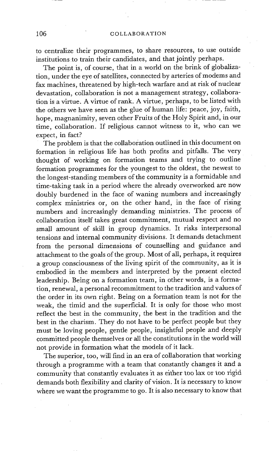to centralize their programmes, to share resources, to use outside institutions :to train their candidates, and that jointly perhaps.

The point is, of course, that in a world on the brink of globalization, under the eye of satellites, connected by arteries of modems and fax machines, threatened by high-tech warfare and at risk of nuclear devastation, collaboration is not a management strategy, collaboration is a virtue. A virtue of rank. A virtue, perhaps, to be listed with the others we have seen as the glue of human life: peace, joy, faith, hope, magnanimity, seven other Fruits of the Holy Spirit and, in our time, collaboration. If religious cannot witness to it, who can we expect, in fact?

The problem is that the collaboration outlined in this document on formation in religious life has both profits and pitfalls. The very thought of working on formation teams and trying to outline formation programmes for the youngest to the oldest, the newest to the longest-standing members of the community is a formidable and time-taking task in a period where the already overworked are now doubly burdened in the face of waning numbers and increasingly complex ministries or, on the other hand, in the face of rising numbers and increasingly demanding ministries. The process of collaboration itself takes great commitment, mutual respect and no small amount of skill in group dynamics. It risks interpersonal tensions and internal community divisions. It demands detachment from the personal dimensions of counselling and guidance and attachment to the goals of the group. Most of all, perhaps, it requires a group consciousness of the living spirit of the community, as it is embodied in the members and interpreted by the present elected leadership. Being on a formation team, in other words, is a formation, renewal, a personal recommitment to the tradition and values of the order in its own right. Being on a formation team is not for the weak, the timid and the superficial. It is only for those who most reflect the best in the community, the best in the tradition and the best in the charism. They do not have to be perfect people but they must be loving people, gentle people, insightful people and deeply committed people themselves or all the constitutions in the world will not provide in formation what the models of it lack.

The superior, too, will find in an era of collaboration that working through a programme with a team that constantly changes it and a community that constantly evaluates it as either too lax or too rigid demands both flexibility and clarity of vision. It is necessary to know where we want the programme to go. It is also necessary to know that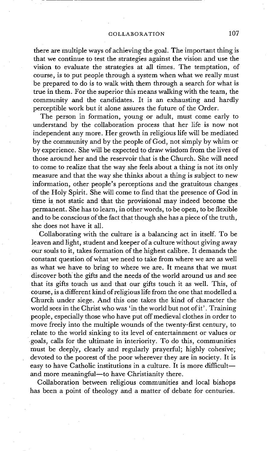there are multiple ways of achieving the goal. The important thing is that we continue to test the strategies against the vision and use the vision to evaluate the strategies at all times. The temptation, of course, is to put people through a system when what we really must be prepared to do is to walk with them through a search for what is true in them. For the superior this means walking with the team, the community and the candidates. It is an exhausting and hardly perceptible work but it alone assures the future of the Order.

The person in formation, young or adult, must come early to understand by the collaboration process that her life is now not independent any more. Her growth in religious life will be mediated by the community and by the people of God, not simply by whim or by experience. She will be expected to draw wisdom from the lives of those around her and the reservoir that is the Church. She will need to come to realize that the way she feels about a thing is not its only measure and that the way she thinks about a thing is subject to new information, other people's perceptions and the gratuitous changes of the Holy Spirit. She will come to find that the presence of God in time is not static and that the provisional may indeed become the permanent. She has to learn, in other words, to be open, to be flexible and to be conscious of the fact that though she has a piece of the truth, she does not have it all.

Collaborating with the culture is a balancing act in itself. To be leaven and light, student and keeper of a culture without giving away our souls to it, takes formation of the highest calibre. It demands the constant question of what we need to take from where we are as well as what we have to bring to where we are. It means that we must discover both the gifts and the needs of the world around us and see that its gifts touch us and that our gifts touch it as well. This, of course, is a different kind of religious life from the one that modelled a Church under siege. And this one takes the kind of character the world sees in the Christ who was 'in the world but not of it'. Training people, especially those who have put off medieval clothes in order to move freely into the multiple wounds of the twenty-first century, to relate to the world sinking to its level of entertainment or *values* or goals, calls for the ultimate in interiority. To do this, communities must be deeply, clearly and regularly prayerful; highly cohesive; devoted to the poorest of the poor wherever they are in society. It is easy to have Catholic institutions in a culture. It is more difficultand more meaningful-to have Christianity there.

Collaboration between religious communities and local bishops has been a point of theology and a matter of debate for centuries.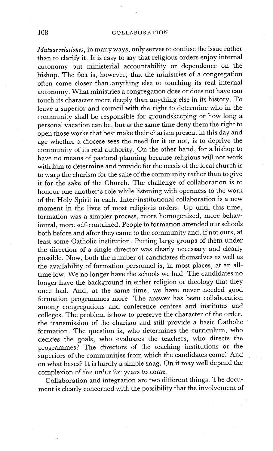## 108 COLLABORATION

*Mutuae relationes,* in many ways, only serves to confuse the issue rather than to clarify it. It is easy to say that religious orders enjoy internal autonomy but ministerial accountability or dependence on the bishop. The fact is, however, that the ministries of a congregation often come closer than anything else to touching its real internal autonomy. What ministries a congregation does or does not have can touch its character more deeply than anything else in its history. To leave a superior and council with the right to determine who in the community shall be responsible for groundskeeping or how long a personal vacation can be, but atthe same time deny them the right to open those works that best make their charism present in this day and age whether a diocese sees the need for it or not, is to deprive the community of its real authority. On the other hand, for a bishop to have no means of pastoral planning because religious will not work with him to determine and provide for the needs of the local church is to warp the charism for the sake of the community rather than to give it for the sake of the Church. The challenge of collaboration is to honour one another's role while listening with openness to the work of the Holy Spirit in each. Inter-institutional collaboration is a new moment in the lives of most religious orders. Up until this time, formation was a simpler process, more homogenized, more behavioural, more self-contained. People in formation attended our schools both before and after they came to the community and, if not ours, at least some Catholic institution. Putting large groups of them under the direction of a single director was clearly necessary and clearly possible. Now, both the number of candidates themselves as well as the availability of formation personnel is, in most places, at an alltime low. We no longer have the schools we had. The candidates no longer have the background in either religion or theology that they once had. And, at the same time, we have never needed good formation programmes more. The answer has been collaboration among congregations and conference centres and institutes and colleges. The problem is how to preserve the character of the order, the transmission of the charism and still provide a basic Catholic formation. The question is, who determines the curriculum, who decides the goals, who evaluates the teachers, who directs the programmes? The directors of the teaching institutions or the superiors of the communities from which the candidates come? And on what bases? It is hardly a simple snag. On it may well depend the complexion of the order for years to come.

Collaboration and integration are two different things. The document is clearly concerned with the possibility that the involvement of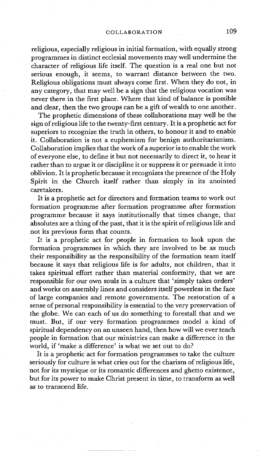religious, especially religious in initial formation, with equally strong programmes in distinct ecclesial movements may well undermine the character of religious life itself. The question is a real one but not serious enough, it seems, to warrant distance between the two. Religious obligations must always come first. When they do not, in any category, that may well be a sign that the religious vocation was never there in the first place. Where that kind of balance is possible and dear, then the two groups can be a gift of wealth to one another.

The prophetic dimensions of these collaborations may well be the sign of religious life to the twenty-first century. It is a prophetic act for superiors to recognize the truth in others, to honour it and to enable it. Collaboration is not a euphemism for benign authoritarianism. Collaboration implies that the work of a superior is to enable the work of everyone else, to define it but not necessarily to direct it, to hear it rather than to argue it or discipline it or suppress it or persuade it into oblivion. It is prophetic because it recognizes the presence of the Holy Spirit in the Church itself rather than simply in its anointed caretakers.

It is a prophetic act for directors and formation teams to work out formation programme after formation programme after formation programme because it says institutionally that times change, that absolutes are a thing of the past, that it is the spirit of religious life and not its previous form that counts.

It is a prophetic act for people in formation to look upon the formation programmes in which they are involved to be as much their responsibility as the responsibility of the formation team itself because it says that religious life is for adults, not children, that it takes spiritual effort rather than material conformity, that we are responsible for our own souls in a culture that 'simply takes orders' and works on assembly lines and considers itself powerless in the face of large companies and remote governments. The restoration of a sense of personal responsibility is essential to the very preservation of the globe. We can each of us do something to forestall that and we must. But, if our very formation programmes model a kind of spiritual dependency on an unseen hand, then how will we ever teach people in formation that our ministries can make a difference in the world, if 'make a difference' is what we set out to do?

It is a prophetic act for formation programmes to take the culture seriously for culture is what cries out for the charism of religious life, not for its mystique or its romantic differences and ghetto existence, but for its power to make Christ present in time, to transform as well as to transcend life.